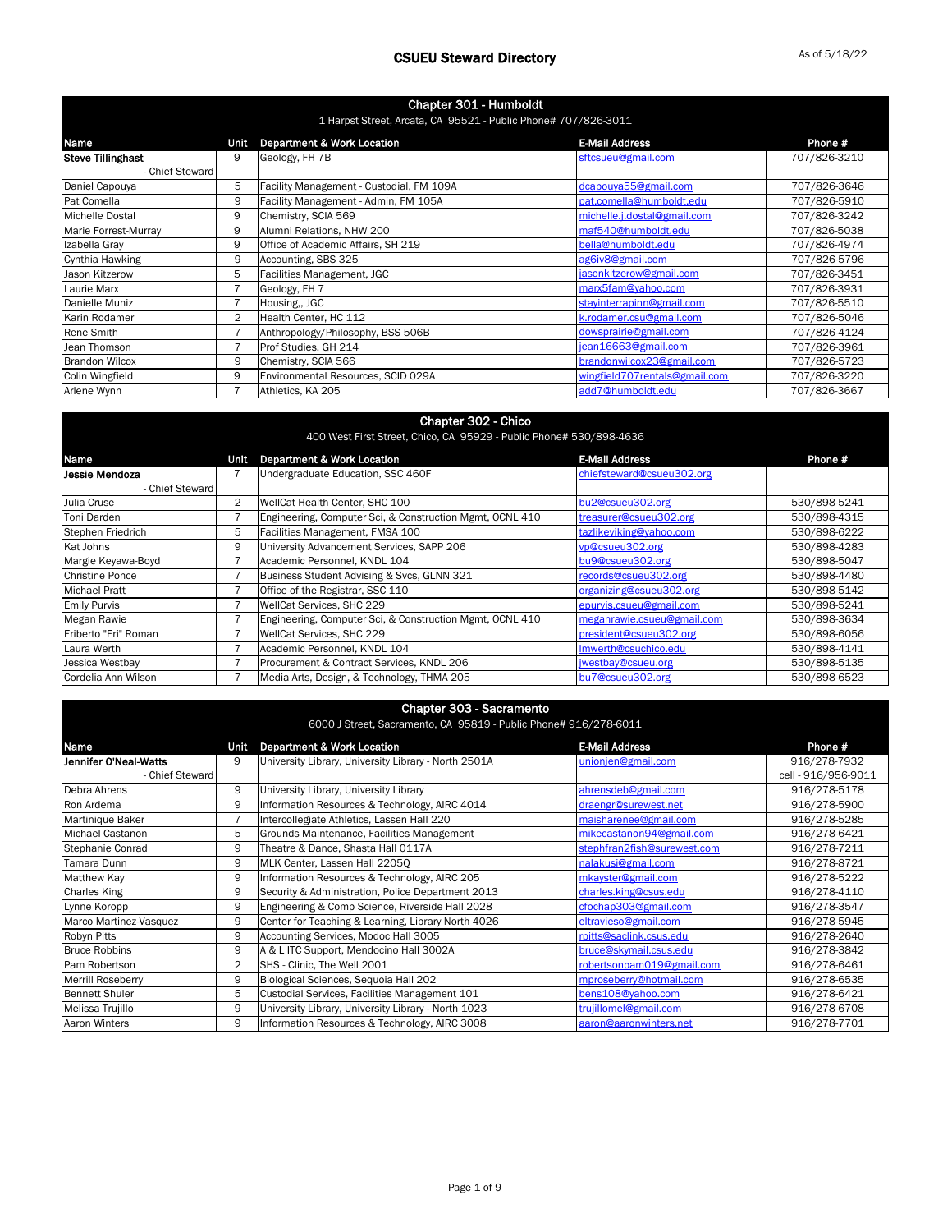| Chapter 301 - Humboldt<br>1 Harpst Street, Arcata, CA 95521 - Public Phone# 707/826-3011 |      |                                          |                               |              |
|------------------------------------------------------------------------------------------|------|------------------------------------------|-------------------------------|--------------|
| Name                                                                                     | Unit | <b>Department &amp; Work Location</b>    | <b>E-Mail Address</b>         | Phone #      |
| <b>Steve Tillinghast</b>                                                                 | 9    | Geology, FH 7B                           | sftcsueu@gmail.com            | 707/826-3210 |
| - Chief Steward                                                                          |      |                                          |                               |              |
| Daniel Capouya                                                                           | 5    | Facility Management - Custodial, FM 109A | dcapouya55@gmail.com          | 707/826-3646 |
| Pat Comella                                                                              | 9    | Facility Management - Admin, FM 105A     | pat.comella@humboldt.edu      | 707/826-5910 |
| Michelle Dostal                                                                          | 9    | Chemistry, SCIA 569                      | michelle.j.dostal@gmail.com   | 707/826-3242 |
| Marie Forrest-Murray                                                                     | 9    | Alumni Relations, NHW 200                | maf540@humboldt.edu           | 707/826-5038 |
| Izabella Gray                                                                            | 9    | Office of Academic Affairs, SH 219       | bella@humboldt.edu            | 707/826-4974 |
| Cynthia Hawking                                                                          | 9    | Accounting, SBS 325                      | ag6iv8@gmail.com              | 707/826-5796 |
| Jason Kitzerow                                                                           | 5    | Facilities Management, JGC               | jasonkitzerow@gmail.com       | 707/826-3451 |
| Laurie Marx                                                                              |      | Geology, FH 7                            | marx5fam@yahoo.com            | 707/826-3931 |
| Danielle Muniz                                                                           |      | Housing,, JGC                            | stayinterrapinn@gmail.com     | 707/826-5510 |
| Karin Rodamer                                                                            | 2    | Health Center, HC 112                    | k.rodamer.csu@gmail.com       | 707/826-5046 |
| Rene Smith                                                                               |      | Anthropology/Philosophy, BSS 506B        | dowsprairie@gmail.com         | 707/826-4124 |
| Jean Thomson                                                                             |      | Prof Studies, GH 214                     | jean16663@gmail.com           | 707/826-3961 |
| <b>Brandon Wilcox</b>                                                                    | 9    | Chemistry, SCIA 566                      | brandonwilcox23@gmail.com     | 707/826-5723 |
| Colin Wingfield                                                                          | 9    | Environmental Resources, SCID 029A       | wingfield707rentals@gmail.com | 707/826-3220 |
| Arlene Wynn                                                                              |      | Athletics, KA 205                        | add7@humboldt.edu             | 707/826-3667 |

| Chapter 302 - Chico<br>400 West First Street, Chico, CA 95929 - Public Phone# 530/898-4636 |      |                                                          |                            |              |  |
|--------------------------------------------------------------------------------------------|------|----------------------------------------------------------|----------------------------|--------------|--|
| Name                                                                                       | Unit | <b>Department &amp; Work Location</b>                    | <b>E-Mail Address</b>      | Phone #      |  |
| IJessie Mendoza                                                                            |      | Undergraduate Education, SSC 460F                        | chiefsteward@csueu302.org  |              |  |
| - Chief Steward                                                                            |      |                                                          |                            |              |  |
| Julia Cruse                                                                                | 2    | WellCat Health Center, SHC 100                           | bu2@csueu302.org           | 530/898-5241 |  |
| Toni Darden                                                                                |      | Engineering, Computer Sci, & Construction Mgmt, OCNL 410 | treasurer@csueu302.org     | 530/898-4315 |  |
| Stephen Friedrich                                                                          | 5    | Facilities Management, FMSA 100                          | tazlikeviking@yahoo.com    | 530/898-6222 |  |
| Kat Johns                                                                                  | 9    | University Advancement Services, SAPP 206                | vp@csueu302.org            | 530/898-4283 |  |
| Margie Keyawa-Boyd                                                                         |      | Academic Personnel, KNDL 104                             | bu9@csueu302.org           | 530/898-5047 |  |
| <b>Christine Ponce</b>                                                                     |      | Business Student Advising & Svcs, GLNN 321               | records@csueu302.org       | 530/898-4480 |  |
| <b>Michael Pratt</b>                                                                       |      | Office of the Registrar, SSC 110                         | organizing@csueu302.org    | 530/898-5142 |  |
| <b>Emily Purvis</b>                                                                        |      | WellCat Services, SHC 229                                | epurvis.csueu@gmail.com    | 530/898-5241 |  |
| Megan Rawie                                                                                |      | Engineering, Computer Sci, & Construction Mgmt, OCNL 410 | meganrawie.csueu@gmail.com | 530/898-3634 |  |
| Eriberto "Eri" Roman                                                                       |      | WellCat Services, SHC 229                                | president@csueu302.org     | 530/898-6056 |  |
| Laura Werth                                                                                |      | Academic Personnel, KNDL 104                             | Imwerth@csuchico.edu       | 530/898-4141 |  |
| Jessica Westbay                                                                            |      | Procurement & Contract Services, KNDL 206                | jwestbay@csueu.org         | 530/898-5135 |  |
| Cordelia Ann Wilson                                                                        |      | Media Arts, Design, & Technology, THMA 205               | bu7@csueu302.org           | 530/898-6523 |  |

### Chapter 303 - Sacramento

| 6000 J Street. Sacramento. CA 95819 - Public Phone# 916/278-6011 |  |  |  |  |
|------------------------------------------------------------------|--|--|--|--|

| Name                    | Unit           | <b>Department &amp; Work Location</b>                | <b>E-Mail Address</b>       | Phone #             |
|-------------------------|----------------|------------------------------------------------------|-----------------------------|---------------------|
| Jennifer O'Neal-Watts   | 9              | University Library, University Library - North 2501A | unionjen@gmail.com          | 916/278-7932        |
| - Chief Steward         |                |                                                      |                             | cell - 916/956-9011 |
| Debra Ahrens            | 9              | University Library, University Library               | ahrensdeb@gmail.com         | 916/278-5178        |
| Ron Ardema              | 9              | Information Resources & Technology, AIRC 4014        | draengr@surewest.net        | 916/278-5900        |
| Martinique Baker        |                | Intercollegiate Athletics, Lassen Hall 220           | maisharenee@gmail.com       | 916/278-5285        |
| <b>Michael Castanon</b> | 5              | Grounds Maintenance, Facilities Management           | mikecastanon94@gmail.com    | 916/278-6421        |
| Stephanie Conrad        | 9              | Theatre & Dance, Shasta Hall 0117A                   | stephfran2fish@surewest.com | 916/278-7211        |
| Tamara Dunn             | 9              | MLK Center, Lassen Hall 22050                        | nalakusi@gmail.com          | 916/278-8721        |
| Matthew Kay             | 9              | Information Resources & Technology, AIRC 205         | mkayster@gmail.com          | 916/278-5222        |
| <b>Charles King</b>     | 9              | Security & Administration, Police Department 2013    | charles.king@csus.edu       | 916/278-4110        |
| Lynne Koropp            | 9              | Engineering & Comp Science, Riverside Hall 2028      | cfochap303@gmail.com        | 916/278-3547        |
| Marco Martinez-Vasquez  | 9              | Center for Teaching & Learning, Library North 4026   | eltravieso@gmail.com        | 916/278-5945        |
| Robyn Pitts             | 9              | Accounting Services, Modoc Hall 3005                 | rpitts@saclink.csus.edu     | 916/278-2640        |
| <b>Bruce Robbins</b>    | 9              | A & L ITC Support, Mendocino Hall 3002A              | bruce@skymail.csus.edu      | 916/278-3842        |
| Pam Robertson           | $\overline{2}$ | SHS - Clinic, The Well 2001                          | robertsonpam019@gmail.com   | 916/278-6461        |
| Merrill Roseberry       | 9              | Biological Sciences, Sequoia Hall 202                | mproseberry@hotmail.com     | 916/278-6535        |
| <b>Bennett Shuler</b>   | 5              | Custodial Services, Facilities Management 101        | bens108@yahoo.com           | 916/278-6421        |
| Melissa Trujillo        | 9              | University Library, University Library - North 1023  | trujillomel@gmail.com       | 916/278-6708        |
| Aaron Winters           | 9              | Information Resources & Technology, AIRC 3008        | aaron@aaronwinters.net      | 916/278-7701        |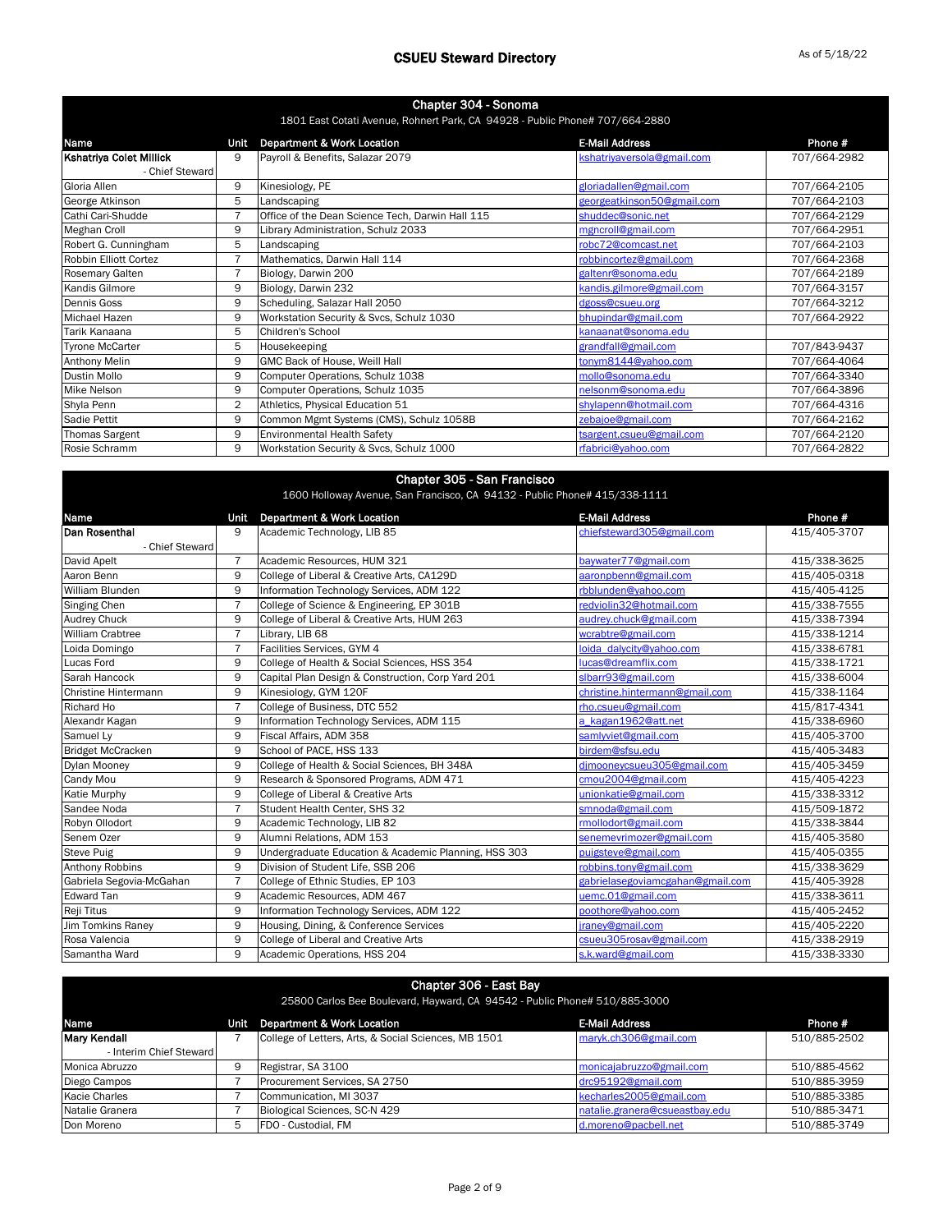| Chapter 304 - Sonoma         |                |                                                                              |                            |              |
|------------------------------|----------------|------------------------------------------------------------------------------|----------------------------|--------------|
|                              |                | 1801 East Cotati Avenue, Rohnert Park, CA 94928 - Public Phone# 707/664-2880 |                            |              |
| Name                         | Unit           | <b>Department &amp; Work Location</b>                                        | <b>E-Mail Address</b>      | Phone #      |
| Kshatriya Colet Millick      | 9              | Payroll & Benefits, Salazar 2079                                             | kshatriyaversola@gmail.com | 707/664-2982 |
| - Chief Steward              |                |                                                                              |                            |              |
| Gloria Allen                 | 9              | Kinesiology, PE                                                              | gloriadallen@gmail.com     | 707/664-2105 |
| George Atkinson              | 5              | Landscaping                                                                  | georgeatkinson50@gmail.com | 707/664-2103 |
| Cathi Cari-Shudde            | $\overline{7}$ | Office of the Dean Science Tech, Darwin Hall 115                             | shuddec@sonic.net          | 707/664-2129 |
| <b>Meghan Croll</b>          | 9              | Library Administration, Schulz 2033                                          | mgncroll@gmail.com         | 707/664-2951 |
| Robert G. Cunningham         | 5              | Landscaping                                                                  | robc72@comcast.net         | 707/664-2103 |
| <b>Robbin Elliott Cortez</b> |                | Mathematics, Darwin Hall 114                                                 | robbincortez@gmail.com     | 707/664-2368 |
| <b>Rosemary Galten</b>       | $\overline{7}$ | Biology, Darwin 200                                                          | galtenr@sonoma.edu         | 707/664-2189 |
| Kandis Gilmore               | 9              | Biology, Darwin 232                                                          | kandis.gilmore@gmail.com   | 707/664-3157 |
| Dennis Goss                  | 9              | Scheduling, Salazar Hall 2050                                                | dgoss@csueu.org            | 707/664-3212 |
| Michael Hazen                | 9              | Workstation Security & Svcs, Schulz 1030                                     | bhupindar@gmail.com        | 707/664-2922 |
| Tarik Kanaana                | 5              | Children's School                                                            | kanaanat@sonoma.edu        |              |
| <b>Tyrone McCarter</b>       | 5              | Housekeeping                                                                 | grandfall@gmail.com        | 707/843-9437 |
| <b>Anthony Melin</b>         | 9              | GMC Back of House, Weill Hall                                                | tonym8144@yahoo.com        | 707/664-4064 |
| <b>Dustin Mollo</b>          | 9              | Computer Operations, Schulz 1038                                             | mollo@sonoma.edu           | 707/664-3340 |
| Mike Nelson                  | 9              | Computer Operations, Schulz 1035                                             | nelsonm@sonoma.edu         | 707/664-3896 |
| Shyla Penn                   | $\overline{2}$ | Athletics, Physical Education 51                                             | shylapenn@hotmail.com      | 707/664-4316 |
| Sadie Pettit                 | 9              | Common Mgmt Systems (CMS), Schulz 1058B                                      | zebajoe@gmail.com          | 707/664-2162 |
| <b>Thomas Sargent</b>        | 9              | <b>Environmental Health Safety</b>                                           | tsargent.csueu@gmail.com   | 707/664-2120 |
| Rosie Schramm                | 9              | Workstation Security & Svcs, Schulz 1000                                     | rfabrici@yahoo.com         | 707/664-2822 |

|                                                                            |                | Chapter 305 - San Francisco                          |                                  |              |  |
|----------------------------------------------------------------------------|----------------|------------------------------------------------------|----------------------------------|--------------|--|
| 1600 Holloway Avenue, San Francisco, CA 94132 - Public Phone# 415/338-1111 |                |                                                      |                                  |              |  |
| Name                                                                       | Unit           | Department & Work Location                           | <b>E-Mail Address</b>            | Phone #      |  |
| Dan Rosenthal                                                              | 9              | Academic Technology, LIB 85                          | chiefsteward305@gmail.com        | 415/405-3707 |  |
| - Chief Steward                                                            |                |                                                      |                                  |              |  |
| David Apelt                                                                | $\overline{7}$ | Academic Resources, HUM 321                          | baywater77@gmail.com             | 415/338-3625 |  |
| Aaron Benn                                                                 | 9              | College of Liberal & Creative Arts, CA129D           | aaronpbenn@gmail.com             | 415/405-0318 |  |
| William Blunden                                                            | 9              | Information Technology Services, ADM 122             | rbblunden@yahoo.com              | 415/405-4125 |  |
| Singing Chen                                                               | $\overline{7}$ | College of Science & Engineering, EP 301B            | redviolin32@hotmail.com          | 415/338-7555 |  |
| <b>Audrey Chuck</b>                                                        | 9              | College of Liberal & Creative Arts, HUM 263          | audrey.chuck@gmail.com           | 415/338-7394 |  |
| <b>William Crabtree</b>                                                    | $\overline{7}$ | Library, LIB 68                                      | wcrabtre@gmail.com               | 415/338-1214 |  |
| Loida Domingo                                                              | $\overline{7}$ | Facilities Services, GYM 4                           | loida dalycity@yahoo.com         | 415/338-6781 |  |
| Lucas Ford                                                                 | 9              | College of Health & Social Sciences, HSS 354         | lucas@dreamflix.com              | 415/338-1721 |  |
| Sarah Hancock                                                              | 9              | Capital Plan Design & Construction, Corp Yard 201    | slbarr93@gmail.com               | 415/338-6004 |  |
| Christine Hintermann                                                       | 9              | Kinesiology, GYM 120F                                | christine.hintermann@gmail.com   | 415/338-1164 |  |
| Richard Ho                                                                 | $\overline{7}$ | College of Business, DTC 552                         | rho.csueu@gmail.com              | 415/817-4341 |  |
| Alexandr Kagan                                                             | 9              | Information Technology Services, ADM 115             | a kagan1962@att.net              | 415/338-6960 |  |
| Samuel Ly                                                                  | 9              | Fiscal Affairs, ADM 358                              | samlyviet@gmail.com              | 415/405-3700 |  |
| <b>Bridget McCracken</b>                                                   | 9              | School of PACE, HSS 133                              | birdem@sfsu.edu                  | 415/405-3483 |  |
| Dylan Mooney                                                               | 9              | College of Health & Social Sciences, BH 348A         | dimooneycsueu305@gmail.com       | 415/405-3459 |  |
| Candy Mou                                                                  | 9              | Research & Sponsored Programs, ADM 471               | cmou2004@gmail.com               | 415/405-4223 |  |
| <b>Katie Murphy</b>                                                        | 9              | College of Liberal & Creative Arts                   | unionkatie@gmail.com             | 415/338-3312 |  |
| Sandee Noda                                                                | $\overline{7}$ | Student Health Center, SHS 32                        | smnoda@gmail.com                 | 415/509-1872 |  |
| Robyn Ollodort                                                             | 9              | Academic Technology, LIB 82                          | rmollodort@gmail.com             | 415/338-3844 |  |
| Senem Ozer                                                                 | 9              | Alumni Relations, ADM 153                            | senemevrimozer@gmail.com         | 415/405-3580 |  |
| <b>Steve Puig</b>                                                          | 9              | Undergraduate Education & Academic Planning, HSS 303 | puigsteve@gmail.com              | 415/405-0355 |  |
| <b>Anthony Robbins</b>                                                     | 9              | Division of Student Life, SSB 206                    | robbins.tony@gmail.com           | 415/338-3629 |  |
| Gabriela Segovia-McGahan                                                   | $\overline{7}$ | College of Ethnic Studies, EP 103                    | gabrielasegoviamcgahan@gmail.com | 415/405-3928 |  |
| <b>Edward Tan</b>                                                          | 9              | Academic Resources, ADM 467                          | uemc.01@gmail.com                | 415/338-3611 |  |
| Reji Titus                                                                 | 9              | Information Technology Services, ADM 122             | poothore@yahoo.com               | 415/405-2452 |  |
| <b>Jim Tomkins Raney</b>                                                   | 9              | Housing, Dining, & Conference Services               | jraney@gmail.com                 | 415/405-2220 |  |
| Rosa Valencia                                                              | 9              | College of Liberal and Creative Arts                 | csueu305rosav@gmail.com          | 415/338-2919 |  |
| Samantha Ward                                                              | 9              | Academic Operations, HSS 204                         | s.k.ward@gmail.com               | 415/338-3330 |  |

| Chapter 306 - East Bay<br>25800 Carlos Bee Boulevard, Hayward, CA 94542 - Public Phone# 510/885-3000 |      |                                                      |                                |              |
|------------------------------------------------------------------------------------------------------|------|------------------------------------------------------|--------------------------------|--------------|
| <b>Name</b>                                                                                          | Unit | Department & Work Location                           | <b>E-Mail Address</b>          | Phone #      |
| <b>Mary Kendall</b>                                                                                  |      | College of Letters, Arts, & Social Sciences, MB 1501 | maryk.ch306@gmail.com          | 510/885-2502 |
| - Interim Chief Steward                                                                              |      |                                                      |                                |              |
| Monica Abruzzo                                                                                       | 9    | Registrar, SA 3100                                   | monicajabruzzo@gmail.com       | 510/885-4562 |
| Diego Campos                                                                                         |      | Procurement Services, SA 2750                        | drc95192@gmail.com             | 510/885-3959 |
| <b>Kacie Charles</b>                                                                                 |      | Communication, MI 3037                               | kecharles2005@gmail.com        | 510/885-3385 |
| Natalie Granera                                                                                      |      | Biological Sciences, SC-N 429                        | natalie.granera@csueastbay.edu | 510/885-3471 |
| Don Moreno                                                                                           | 5    | FDO - Custodial, FM                                  | d.moreno@pacbell.net           | 510/885-3749 |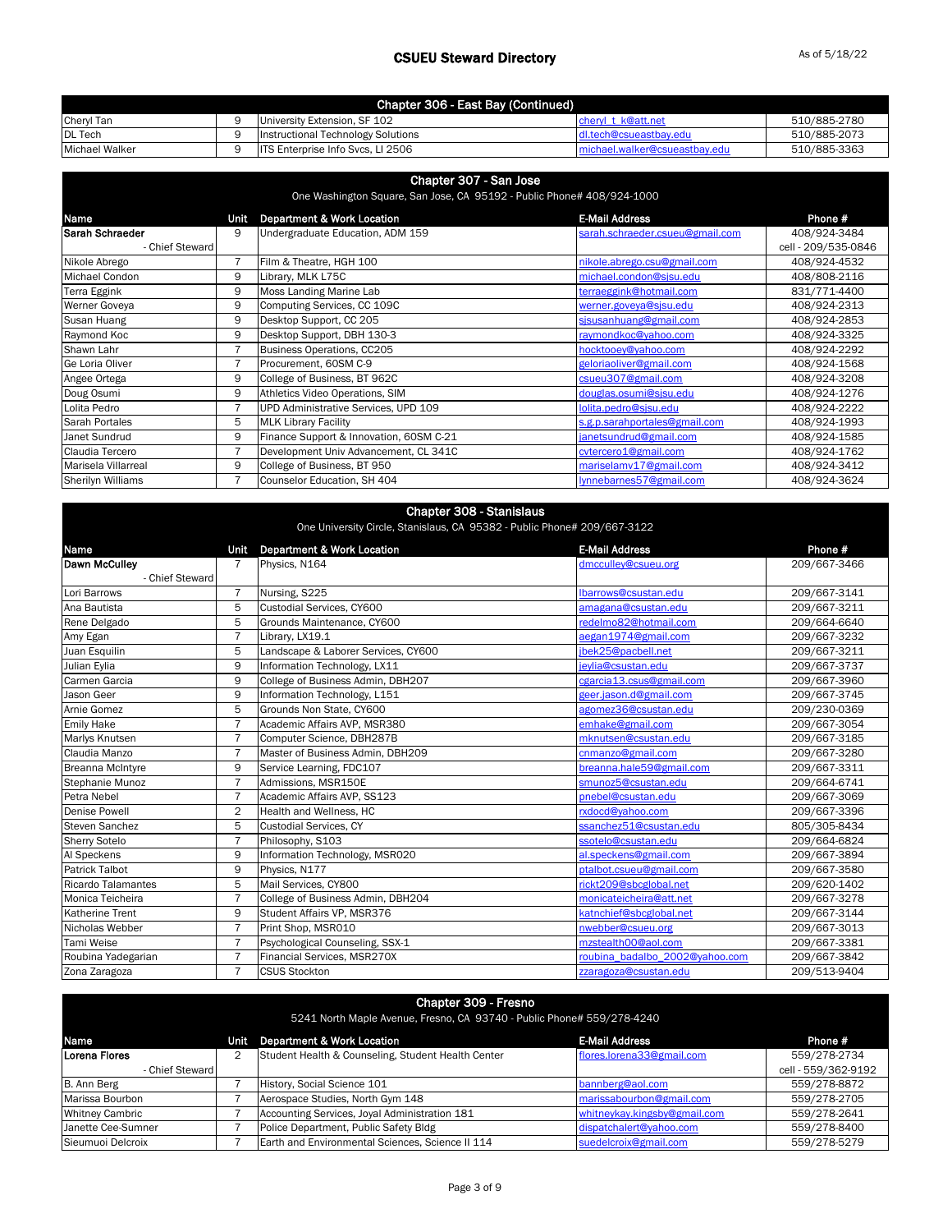| Chapter 306 - East Bay (Continued) |  |                                          |                               |              |  |
|------------------------------------|--|------------------------------------------|-------------------------------|--------------|--|
| Cheryl Tan                         |  | University Extension, SF 102             | chervl t k@att.net            | 510/885-2780 |  |
| <b>DL</b> Tech                     |  | Instructional Technology Solutions       | dl.tech@csueastbay.edu        | 510/885-2073 |  |
| Michael Walker                     |  | <b>ITS Enterprise Info Svcs. LI 2506</b> | michael.walker@csueastbay.edu | 510/885-3363 |  |

| Chapter 307 - San Jose<br>One Washington Square, San Jose, CA 95192 - Public Phone# 408/924-1000 |      |                                         |                                 |                     |
|--------------------------------------------------------------------------------------------------|------|-----------------------------------------|---------------------------------|---------------------|
| Name                                                                                             | Unit | Department & Work Location              | <b>E-Mail Address</b>           | Phone #             |
| Sarah Schraeder                                                                                  | 9    | Undergraduate Education, ADM 159        | sarah.schraeder.csueu@gmail.com | 408/924-3484        |
| - Chief Steward                                                                                  |      |                                         |                                 | cell - 209/535-0846 |
| Nikole Abrego                                                                                    |      | Film & Theatre, HGH 100                 | nikole.abrego.csu@gmail.com     | 408/924-4532        |
| <b>Michael Condon</b>                                                                            | 9    | Library, MLK L75C                       | michael.condon@sjsu.edu         | 408/808-2116        |
| Terra Eggink                                                                                     | 9    | Moss Landing Marine Lab                 | terraeggink@hotmail.com         | 831/771-4400        |
| Werner Goveya                                                                                    | 9    | Computing Services, CC 109C             | werner.goveya@sjsu.edu          | 408/924-2313        |
| Susan Huang                                                                                      | 9    | Desktop Support, CC 205                 | sisusanhuang@gmail.com          | 408/924-2853        |
| Raymond Koc                                                                                      | 9    | Desktop Support, DBH 130-3              | raymondkoc@yahoo.com            | 408/924-3325        |
| Shawn Lahr                                                                                       |      | Business Operations, CC205              | hocktooey@yahoo.com             | 408/924-2292        |
| Ge Loria Oliver                                                                                  |      | Procurement, 60SM C-9                   | geloriaoliver@gmail.com         | 408/924-1568        |
| Angee Ortega                                                                                     | 9    | College of Business, BT 962C            | csueu307@gmail.com              | 408/924-3208        |
| Doug Osumi                                                                                       | 9    | Athletics Video Operations, SIM         | douglas.osumi@sjsu.edu          | 408/924-1276        |
| Lolita Pedro                                                                                     |      | UPD Administrative Services, UPD 109    | lolita.pedro@sjsu.edu           | 408/924-2222        |
| <b>Sarah Portales</b>                                                                            | 5    | <b>MLK Library Facility</b>             | s.g.p.sarahportales@gmail.com   | 408/924-1993        |
| Janet Sundrud                                                                                    | 9    | Finance Support & Innovation, 60SM C-21 | janetsundrud@gmail.com          | 408/924-1585        |
| Claudia Tercero                                                                                  |      | Development Univ Advancement, CL 341C   | cvtercero1@gmail.com            | 408/924-1762        |
| Marisela Villarreal                                                                              | 9    | College of Business, BT 950             | mariselamv17@gmail.com          | 408/924-3412        |
| <b>Sherilyn Williams</b>                                                                         |      | Counselor Education, SH 404             | lynnebarnes57@gmail.com         | 408/924-3624        |

|                           |                | <b>Chapter 308 - Stanislaus</b>                                          |                                |              |
|---------------------------|----------------|--------------------------------------------------------------------------|--------------------------------|--------------|
|                           |                | One University Circle, Stanislaus, CA 95382 - Public Phone# 209/667-3122 |                                |              |
| Name                      | Unit           | <b>Department &amp; Work Location</b>                                    | <b>E-Mail Address</b>          | Phone #      |
| <b>Dawn McCulley</b>      | 7              | Physics, N164                                                            | dmcculley@csueu.org            | 209/667-3466 |
| - Chief Steward           |                |                                                                          |                                |              |
| Lori Barrows              | $\overline{7}$ | Nursing, S225                                                            | Ibarrows@csustan.edu           | 209/667-3141 |
| Ana Bautista              | 5              | Custodial Services, CY600                                                | amagana@csustan.edu            | 209/667-3211 |
| Rene Delgado              | 5              | Grounds Maintenance, CY600                                               | redelmo82@hotmail.com          | 209/664-6640 |
| Amy Egan                  | $\overline{7}$ | Library, LX19.1                                                          | aegan1974@gmail.com            | 209/667-3232 |
| Juan Esquilin             | 5              | Landscape & Laborer Services, CY600                                      | ibek25@pacbell.net             | 209/667-3211 |
| Julian Eylia              | 9              | Information Technology, LX11                                             | ievlia@csustan.edu             | 209/667-3737 |
| Carmen Garcia             | 9              | College of Business Admin, DBH207                                        | cgarcia13.csus@gmail.com       | 209/667-3960 |
| Jason Geer                | 9              | Information Technology, L151                                             | geer.jason.d@gmail.com         | 209/667-3745 |
| Arnie Gomez               | 5              | Grounds Non State, CY600                                                 | agomez36@csustan.edu           | 209/230-0369 |
| <b>Emily Hake</b>         | $\overline{7}$ | Academic Affairs AVP, MSR380                                             | emhake@gmail.com               | 209/667-3054 |
| Marlys Knutsen            | $\overline{7}$ | Computer Science, DBH287B                                                | mknutsen@csustan.edu           | 209/667-3185 |
| Claudia Manzo             | $\overline{7}$ | Master of Business Admin, DBH209                                         | cnmanzo@gmail.com              | 209/667-3280 |
| <b>Breanna McIntyre</b>   | 9              | Service Learning, FDC107                                                 | breanna.hale59@gmail.com       | 209/667-3311 |
| Stephanie Munoz           | $\overline{7}$ | Admissions, MSR150E                                                      | smunoz5@csustan.edu            | 209/664-6741 |
| Petra Nebel               | $\overline{7}$ | Academic Affairs AVP, SS123                                              | pnebel@csustan.edu             | 209/667-3069 |
| <b>Denise Powell</b>      | $\overline{2}$ | Health and Wellness, HC                                                  | rxdocd@vahoo.com               | 209/667-3396 |
| <b>Steven Sanchez</b>     | 5              | <b>Custodial Services, CY</b>                                            | ssanchez51@csustan.edu         | 805/305-8434 |
| <b>Sherry Sotelo</b>      | $\overline{7}$ | Philosophy, S103                                                         | ssotelo@csustan.edu            | 209/664-6824 |
| Al Speckens               | 9              | Information Technology, MSR020                                           | al.speckens@gmail.com          | 209/667-3894 |
| <b>Patrick Talbot</b>     | 9              | Physics, N177                                                            | ptalbot.csueu@gmail.com        | 209/667-3580 |
| <b>Ricardo Talamantes</b> | 5              | Mail Services, CY800                                                     | rickt209@sbcglobal.net         | 209/620-1402 |
| Monica Teicheira          | $\overline{7}$ | College of Business Admin, DBH204                                        | monicateicheira@att.net        | 209/667-3278 |
| <b>Katherine Trent</b>    | 9              | Student Affairs VP, MSR376                                               | katnchief@sbcglobal.net        | 209/667-3144 |
| Nicholas Webber           | $\overline{7}$ | Print Shop. MSR010                                                       | nwebber@csueu.org              | 209/667-3013 |
| Tami Weise                | $\overline{7}$ | Psychological Counseling, SSX-1                                          | mzstealth00@aol.com            | 209/667-3381 |
| Roubina Yadegarian        | $\overline{7}$ | Financial Services, MSR270X                                              | roubina badalbo 2002@yahoo.com | 209/667-3842 |
| Zona Zaragoza             | $\overline{7}$ | <b>CSUS Stockton</b>                                                     | zzaragoza@csustan.edu          | 209/513-9404 |

| Chapter 309 - Fresno<br>5241 North Maple Avenue, Fresno, CA 93740 - Public Phone# 559/278-4240 |  |                                                    |                              |                     |  |
|------------------------------------------------------------------------------------------------|--|----------------------------------------------------|------------------------------|---------------------|--|
| Name                                                                                           |  | Unit Department & Work Location                    | <b>E-Mail Address</b>        | Phone #             |  |
| Lorena Flores                                                                                  |  | Student Health & Counseling, Student Health Center | flores.lorena33@gmail.com    | 559/278-2734        |  |
| - Chief Steward                                                                                |  |                                                    |                              | cell - 559/362-9192 |  |
| B. Ann Berg                                                                                    |  | History, Social Science 101                        | bannberg@aol.com             | 559/278-8872        |  |
| Marissa Bourbon                                                                                |  | Aerospace Studies, North Gym 148                   | marissabourbon@gmail.com     | 559/278-2705        |  |
| <b>Whitney Cambric</b>                                                                         |  | Accounting Services, Joyal Administration 181      | whitneykay.kingsby@gmail.com | 559/278-2641        |  |
| Janette Cee-Sumner                                                                             |  | Police Department, Public Safety Bldg              | dispatchalert@yahoo.com      | 559/278-8400        |  |
| Sieumuoi Delcroix                                                                              |  | Earth and Environmental Sciences, Science II 114   | suedelcroix@gmail.com        | 559/278-5279        |  |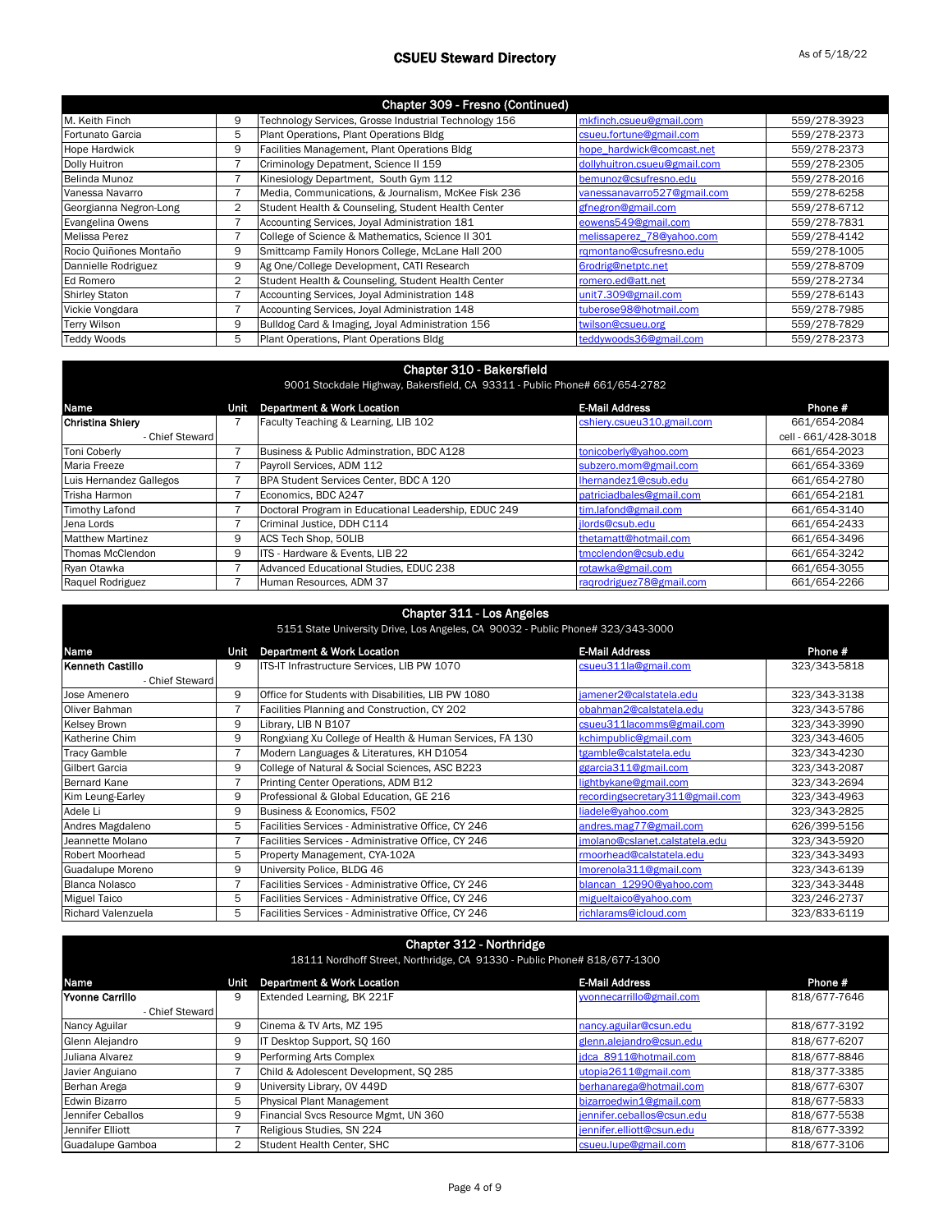|                        |   | Chapter 309 - Fresno (Continued)                      |                              |              |
|------------------------|---|-------------------------------------------------------|------------------------------|--------------|
| M. Keith Finch         | 9 | Technology Services, Grosse Industrial Technology 156 | mkfinch.csueu@gmail.com      | 559/278-3923 |
| Fortunato Garcia       | 5 | Plant Operations, Plant Operations Bldg               | csueu.fortune@gmail.com      | 559/278-2373 |
| <b>Hope Hardwick</b>   | 9 | Facilities Management, Plant Operations Bldg          | hope hardwick@comcast.net    | 559/278-2373 |
| Dolly Huitron          |   | Criminology Depatment, Science II 159                 | dollyhuitron.csueu@gmail.com | 559/278-2305 |
| Belinda Munoz          |   | Kinesiology Department, South Gym 112                 | bemunoz@csufresno.edu        | 559/278-2016 |
| Vanessa Navarro        |   | Media, Communications, & Journalism, McKee Fisk 236   | vanessanavarro527@gmail.com  | 559/278-6258 |
| Georgianna Negron-Long | 2 | Student Health & Counseling, Student Health Center    | gfnegron@gmail.com           | 559/278-6712 |
| Evangelina Owens       |   | Accounting Services, Joyal Administration 181         | eowens549@gmail.com          | 559/278-7831 |
| <b>Melissa Perez</b>   |   | College of Science & Mathematics, Science II 301      | melissaperez 78@yahoo.com    | 559/278-4142 |
| Rocio Quiñones Montaño | 9 | Smittcamp Family Honors College, McLane Hall 200      | rgmontano@csufresno.edu      | 559/278-1005 |
| Dannielle Rodriguez    | 9 | Ag One/College Development, CATI Research             | 6rodrig@netptc.net           | 559/278-8709 |
| Ed Romero              | 2 | Student Health & Counseling, Student Health Center    | romero.ed@att.net            | 559/278-2734 |
| <b>Shirley Staton</b>  |   | Accounting Services, Joyal Administration 148         | unit7.309@gmail.com          | 559/278-6143 |
| Vickie Vongdara        |   | Accounting Services, Joyal Administration 148         | tuberose98@hotmail.com       | 559/278-7985 |
| <b>Terry Wilson</b>    | 9 | Bulldog Card & Imaging, Joyal Administration 156      | twilson@csueu.org            | 559/278-7829 |
| <b>Teddy Woods</b>     | 5 | Plant Operations, Plant Operations Bldg               | teddywoods36@gmail.com       | 559/278-2373 |

### Chapter 310 - Bakersfield

| 9001 Stockdale Highway, Bakersfield, CA 93311 - Public Phone# 661/654-2782 |      |                                                      |                            |                     |
|----------------------------------------------------------------------------|------|------------------------------------------------------|----------------------------|---------------------|
| <b>Name</b>                                                                | Unit | <b>Department &amp; Work Location</b>                | <b>E-Mail Address</b>      | Phone #             |
| Christina Shiery                                                           |      | Faculty Teaching & Learning, LIB 102                 | cshiery.csueu310.gmail.com | 661/654-2084        |
| - Chief Steward                                                            |      |                                                      |                            | cell - 661/428-3018 |
| <b>Toni Coberly</b>                                                        |      | Business & Public Adminstration, BDC A128            | tonicoberly@yahoo.com      | 661/654-2023        |
| <b>Maria Freeze</b>                                                        |      | Payroll Services, ADM 112                            | subzero.mom@gmail.com      | 661/654-3369        |
| Luis Hernandez Gallegos                                                    |      | BPA Student Services Center, BDC A 120               | Ihernandez1@csub.edu       | 661/654-2780        |
| Trisha Harmon                                                              |      | Economics. BDC A247                                  | patriciadbales@gmail.com   | 661/654-2181        |
| <b>Timothy Lafond</b>                                                      |      | Doctoral Program in Educational Leadership, EDUC 249 | tim.lafond@gmail.com       | 661/654-3140        |
| Jena Lords                                                                 |      | Criminal Justice, DDH C114                           | ilords@csub.edu            | 661/654-2433        |
| <b>Matthew Martinez</b>                                                    | 9    | ACS Tech Shop, 50LIB                                 | thetamatt@hotmail.com      | 661/654-3496        |
| Thomas McClendon                                                           | 9    | ITS - Hardware & Events, LIB 22                      | tmcclendon@csub.edu        | 661/654-3242        |
| Ryan Otawka                                                                |      | Advanced Educational Studies, EDUC 238               | rotawka@gmail.com          | 661/654-3055        |
| Raquel Rodriguez                                                           |      | Human Resources, ADM 37                              | ragrodriguez78@gmail.com   | 661/654-2266        |

| <b>Chapter 311 - Los Angeles</b><br>5151 State University Drive, Los Angeles, CA 90032 - Public Phone# 323/343-3000 |      |                                                         |                                 |              |
|---------------------------------------------------------------------------------------------------------------------|------|---------------------------------------------------------|---------------------------------|--------------|
| Name                                                                                                                | Unit | <b>Department &amp; Work Location</b>                   | <b>E-Mail Address</b>           | Phone #      |
| l Kenneth Castillo                                                                                                  | 9    | ITS-IT Infrastructure Services, LIB PW 1070             | csueu311la@gmail.com            | 323/343-5818 |
| - Chief Steward                                                                                                     |      |                                                         |                                 |              |
| Jose Amenero                                                                                                        | 9    | Office for Students with Disabilities, LIB PW 1080      | jamener2@calstatela.edu         | 323/343-3138 |
| Oliver Bahman                                                                                                       | 7    | Facilities Planning and Construction, CY 202            | obahman2@calstatela.edu         | 323/343-5786 |
| <b>Kelsey Brown</b>                                                                                                 | 9    | Library, LIB N B107                                     | csueu311lacomms@gmail.com       | 323/343-3990 |
| Katherine Chim                                                                                                      | 9    | Rongxiang Xu College of Health & Human Services, FA 130 | kchimpublic@gmail.com           | 323/343-4605 |
| <b>Tracy Gamble</b>                                                                                                 |      | Modern Languages & Literatures, KH D1054                | tgamble@calstatela.edu          | 323/343-4230 |
| <b>Gilbert Garcia</b>                                                                                               | 9    | College of Natural & Social Sciences, ASC B223          | ggarcia311@gmail.com            | 323/343-2087 |
| <b>Bernard Kane</b>                                                                                                 | 7    | Printing Center Operations, ADM B12                     | lightbykane@gmail.com           | 323/343-2694 |
| Kim Leung-Earley                                                                                                    | 9    | Professional & Global Education, GE 216                 | recordingsecretary311@gmail.com | 323/343-4963 |
| Adele Li                                                                                                            | 9    | Business & Economics, F502                              | liadele@vahoo.com               | 323/343-2825 |
| Andres Magdaleno                                                                                                    | 5    | Facilities Services - Administrative Office, CY 246     | andres.mag77@gmail.com          | 626/399-5156 |
| Jeannette Molano                                                                                                    | 7    | Facilities Services - Administrative Office, CY 246     | jmolano@cslanet.calstatela.edu  | 323/343-5920 |
| <b>Robert Moorhead</b>                                                                                              | 5    | Property Management, CYA-102A                           | rmoorhead@calstatela.edu        | 323/343-3493 |
| Guadalupe Moreno                                                                                                    | 9    | University Police, BLDG 46                              | Imorenola311@gmail.com          | 323/343-6139 |
| <b>Blanca Nolasco</b>                                                                                               | 7    | Facilities Services - Administrative Office, CY 246     | blancan 12990@yahoo.com         | 323/343-3448 |
| <b>Miguel Taico</b>                                                                                                 | 5    | Facilities Services - Administrative Office, CY 246     | migueltaico@yahoo.com           | 323/246-2737 |
| <b>Richard Valenzuela</b>                                                                                           | 5    | Facilities Services - Administrative Office, CY 246     | richlarams@icloud.com           | 323/833-6119 |

| Chapter 312 - Northridge<br>18111 Nordhoff Street, Northridge, CA 91330 - Public Phone# 818/677-1300 |      |                                        |                            |              |
|------------------------------------------------------------------------------------------------------|------|----------------------------------------|----------------------------|--------------|
| Name                                                                                                 | Unit | Department & Work Location             | <b>E-Mail Address</b>      | Phone #      |
| <b>Yvonne Carrillo</b>                                                                               | 9    | Extended Learning, BK 221F             | vvonnecarrillo@gmail.com   | 818/677-7646 |
| - Chief Steward                                                                                      |      |                                        |                            |              |
| Nancy Aguilar                                                                                        | 9    | Cinema & TV Arts, MZ 195               | nancy.aguilar@csun.edu     | 818/677-3192 |
| Glenn Alejandro                                                                                      | 9    | IT Desktop Support, SQ 160             | glenn.alejandro@csun.edu   | 818/677-6207 |
| Juliana Alvarez                                                                                      | 9    | Performing Arts Complex                | idca 8911@hotmail.com      | 818/677-8846 |
| Javier Anguiano                                                                                      |      | Child & Adolescent Development, SQ 285 | utopia2611@gmail.com       | 818/377-3385 |
| Berhan Arega                                                                                         | 9    | University Library, OV 449D            | berhanarega@hotmail.com    | 818/677-6307 |
| <b>Edwin Bizarro</b>                                                                                 | 5    | Physical Plant Management              | bizarroedwin1@gmail.com    | 818/677-5833 |
| Jennifer Ceballos                                                                                    | 9    | Financial Svcs Resource Mgmt, UN 360   | jennifer.ceballos@csun.edu | 818/677-5538 |
| Jennifer Elliott                                                                                     |      | Religious Studies, SN 224              | jennifer.elliott@csun.edu  | 818/677-3392 |
| Guadalupe Gamboa                                                                                     | 2    | Student Health Center, SHC             | csueu.lupe@gmail.com       | 818/677-3106 |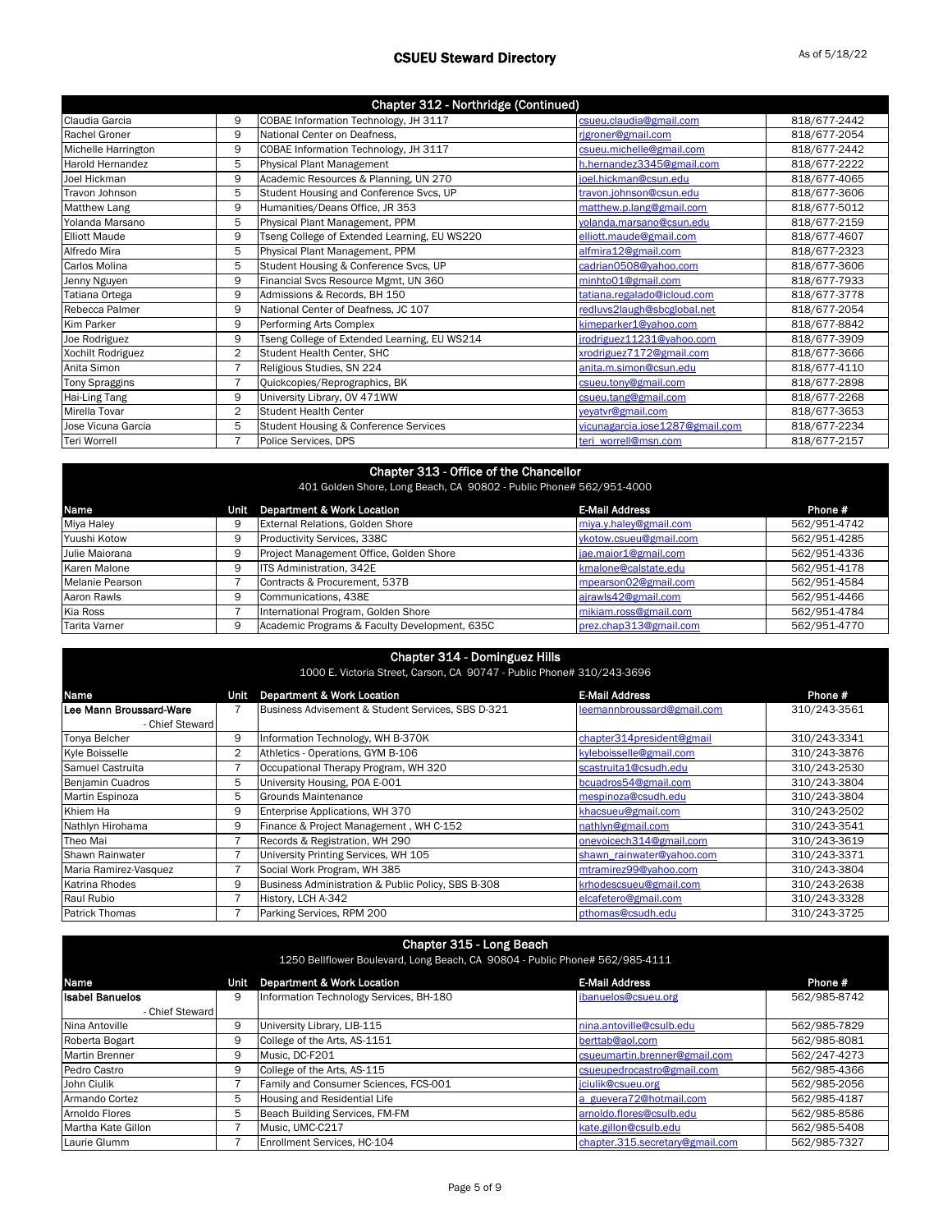| Chapter 312 - Northridge (Continued) |   |                                              |                                 |              |
|--------------------------------------|---|----------------------------------------------|---------------------------------|--------------|
| Claudia Garcia                       | 9 | COBAE Information Technology, JH 3117        | csueu.claudia@gmail.com         | 818/677-2442 |
| Rachel Groner                        | 9 | National Center on Deafness,                 | rigroner@gmail.com              | 818/677-2054 |
| Michelle Harrington                  | 9 | COBAE Information Technology, JH 3117        | csueu.michelle@gmail.com        | 818/677-2442 |
| Harold Hernandez                     | 5 | <b>Physical Plant Management</b>             | h.hernandez3345@gmail.com       | 818/677-2222 |
| Joel Hickman                         | 9 | Academic Resources & Planning, UN 270        | joel.hickman@csun.edu           | 818/677-4065 |
| Travon Johnson                       | 5 | Student Housing and Conference Svcs, UP      | travon.johnson@csun.edu         | 818/677-3606 |
| <b>Matthew Lang</b>                  | 9 | Humanities/Deans Office, JR 353              | matthew.p.lang@gmail.com        | 818/677-5012 |
| Yolanda Marsano                      | 5 | Physical Plant Management, PPM               | volanda.marsano@csun.edu        | 818/677-2159 |
| <b>Elliott Maude</b>                 | 9 | Tseng College of Extended Learning, EU WS220 | elliott.maude@gmail.com         | 818/677-4607 |
| Alfredo Mira                         | 5 | Physical Plant Management, PPM               | alfmira12@gmail.com             | 818/677-2323 |
| <b>Carlos Molina</b>                 | 5 | Student Housing & Conference Svcs, UP        | cadrian0508@yahoo.com           | 818/677-3606 |
| Jenny Nguyen                         | 9 | Financial Svcs Resource Mgmt, UN 360         | minhto01@gmail.com              | 818/677-7933 |
| Tatiana Ortega                       | 9 | Admissions & Records, BH 150                 | tatiana.regalado@icloud.com     | 818/677-3778 |
| Rebecca Palmer                       | 9 | National Center of Deafness, JC 107          | redluvs2laugh@sbcglobal.net     | 818/677-2054 |
| <b>Kim Parker</b>                    | 9 | Performing Arts Complex                      | kimeparker1@yahoo.com           | 818/677-8842 |
| Joe Rodriguez                        | 9 | Tseng College of Extended Learning, EU WS214 | jrodriguez11231@yahoo.com       | 818/677-3909 |
| Xochilt Rodriguez                    | 2 | Student Health Center, SHC                   | xrodriguez7172@gmail.com        | 818/677-3666 |
| Anita Simon                          | 7 | Religious Studies, SN 224                    | anita.m.simon@csun.edu          | 818/677-4110 |
| <b>Tony Spraggins</b>                | 7 | Quickcopies/Reprographics, BK                | csueu.tony@gmail.com            | 818/677-2898 |
| Hai-Ling Tang                        | 9 | University Library, OV 471WW                 | csueu.tang@gmail.com            | 818/677-2268 |
| Mirella Tovar                        | 2 | <b>Student Health Center</b>                 | veyatvr@gmail.com               | 818/677-3653 |
| Jose Vicuna Garcia                   | 5 | Student Housing & Conference Services        | vicunagarcia.jose1287@gmail.com | 818/677-2234 |
| Teri Worrell                         | 7 | Police Services, DPS                         | teri worrell@msn.com            | 818/677-2157 |

| Chapter 313 - Office of the Chancellor<br>401 Golden Shore, Long Beach, CA 90802 - Public Phone# 562/951-4000 |      |                                               |                        |              |
|---------------------------------------------------------------------------------------------------------------|------|-----------------------------------------------|------------------------|--------------|
| Name                                                                                                          | Unit | <b>Department &amp; Work Location</b>         | <b>E-Mail Address</b>  | Phone #      |
| Miya Haley                                                                                                    | 9    | <b>External Relations, Golden Shore</b>       | miya.y.haley@gmail.com | 562/951-4742 |
| Yuushi Kotow                                                                                                  | 9    | Productivity Services, 338C                   | ykotow.csueu@gmail.com | 562/951-4285 |
| Julie Maiorana                                                                                                | 9    | Project Management Office, Golden Shore       | jae.maior1@gmail.com   | 562/951-4336 |
| Karen Malone                                                                                                  | 9    | <b>ITS Administration, 342E</b>               | kmalone@calstate.edu   | 562/951-4178 |
| Melanie Pearson                                                                                               |      | Contracts & Procurement, 537B                 | mpearson02@gmail.com   | 562/951-4584 |
| Aaron Rawls                                                                                                   | 9    | Communications, 438E                          | ajrawls42@gmail.com    | 562/951-4466 |
| Kia Ross                                                                                                      |      | International Program, Golden Shore           | mikiam.ross@gmail.com  | 562/951-4784 |
| Tarita Varner                                                                                                 | 9    | Academic Programs & Faculty Development, 635C | prez.chap313@gmail.com | 562/951-4770 |

| <b>Chapter 314 - Dominguez Hills</b> |  |  |
|--------------------------------------|--|--|
|--------------------------------------|--|--|

1000 E. Victoria Street, Carson, CA 90747 - Public Phone# 310/243-3696

| 1000 L. VICLONO OLICCI, OGISON, ON SOTHE TRONG ENOTION SID/ 240 SOSO |      |                                                    |                            |              |
|----------------------------------------------------------------------|------|----------------------------------------------------|----------------------------|--------------|
| Name                                                                 | Unit | Department & Work Location                         | <b>E-Mail Address</b>      | Phone #      |
| Lee Mann Broussard-Ware                                              |      | Business Advisement & Student Services, SBS D-321  | leemannbroussard@gmail.com | 310/243-3561 |
| - Chief Steward                                                      |      |                                                    |                            |              |
| Tonya Belcher                                                        | 9    | Information Technology, WH B-370K                  | chapter314president@gmail  | 310/243-3341 |
| Kyle Boisselle                                                       | 2    | Athletics - Operations, GYM B-106                  | kyleboisselle@gmail.com    | 310/243-3876 |
| Samuel Castruita                                                     |      | Occupational Therapy Program, WH 320               | scastruita1@csudh.edu      | 310/243-2530 |
| Benjamin Cuadros                                                     | 5    | University Housing, POA E-001                      | bcuadros54@gmail.com       | 310/243-3804 |
| Martin Espinoza                                                      | 5    | <b>Grounds Maintenance</b>                         | mespinoza@csudh.edu        | 310/243-3804 |
| Khiem Ha                                                             | 9    | Enterprise Applications, WH 370                    | khacsueu@gmail.com         | 310/243-2502 |
| Nathlyn Hirohama                                                     | 9    | Finance & Project Management, WH C-152             | nathlyn@gmail.com          | 310/243-3541 |
| Theo Mai                                                             |      | Records & Registration, WH 290                     | onevoicech314@gmail.com    | 310/243-3619 |
| Shawn Rainwater                                                      |      | University Printing Services, WH 105               | shawn rainwater@yahoo.com  | 310/243-3371 |
| Maria Ramirez-Vasquez                                                |      | Social Work Program, WH 385                        | mtramirez99@yahoo.com      | 310/243-3804 |
| Katrina Rhodes                                                       | 9    | Business Administration & Public Policy, SBS B-308 | krhodescsueu@gmail.com     | 310/243-2638 |
| Raul Rubio                                                           |      | History, LCH A-342                                 | elcafetero@gmail.com       | 310/243-3328 |
| <b>Patrick Thomas</b>                                                |      | Parking Services, RPM 200                          | pthomas@csudh.edu          | 310/243-3725 |

| Chapter 315 - Long Beach<br>1250 Bellflower Boulevard, Long Beach, CA 90804 - Public Phone# 562/985-4111 |      |                                         |                                 |              |
|----------------------------------------------------------------------------------------------------------|------|-----------------------------------------|---------------------------------|--------------|
| Name                                                                                                     | Unit | Department & Work Location              | <b>E-Mail Address</b>           | Phone #      |
| <b>Isabel Banuelos</b>                                                                                   | 9    | Information Technology Services, BH-180 | ibanuelos@csueu.org             | 562/985-8742 |
| - Chief Steward                                                                                          |      |                                         |                                 |              |
| Nina Antoville                                                                                           | 9    | University Library, LIB-115             | nina.antoville@csulb.edu        | 562/985-7829 |
| Roberta Bogart                                                                                           | 9    | College of the Arts, AS-1151            | berttab@aol.com                 | 562/985-8081 |
| <b>Martin Brenner</b>                                                                                    | 9    | Music. DC-F201                          | csueumartin.brenner@gmail.com   | 562/247-4273 |
| Pedro Castro                                                                                             | 9    | College of the Arts, AS-115             | csueupedrocastro@gmail.com      | 562/985-4366 |
| John Ciulik                                                                                              |      | Family and Consumer Sciences, FCS-001   | jciulik@csueu.org               | 562/985-2056 |
| Armando Cortez                                                                                           | 5    | Housing and Residential Life            | a guevera72@hotmail.com         | 562/985-4187 |
| Arnoldo Flores                                                                                           | 5    | Beach Building Services, FM-FM          | arnoldo.flores@csulb.edu        | 562/985-8586 |
| Martha Kate Gillon                                                                                       |      | Music. UMC-C217                         | kate.gillon@csulb.edu           | 562/985-5408 |
| Laurie Glumm                                                                                             |      | Enrollment Services, HC-104             | chapter.315.secretary@gmail.com | 562/985-7327 |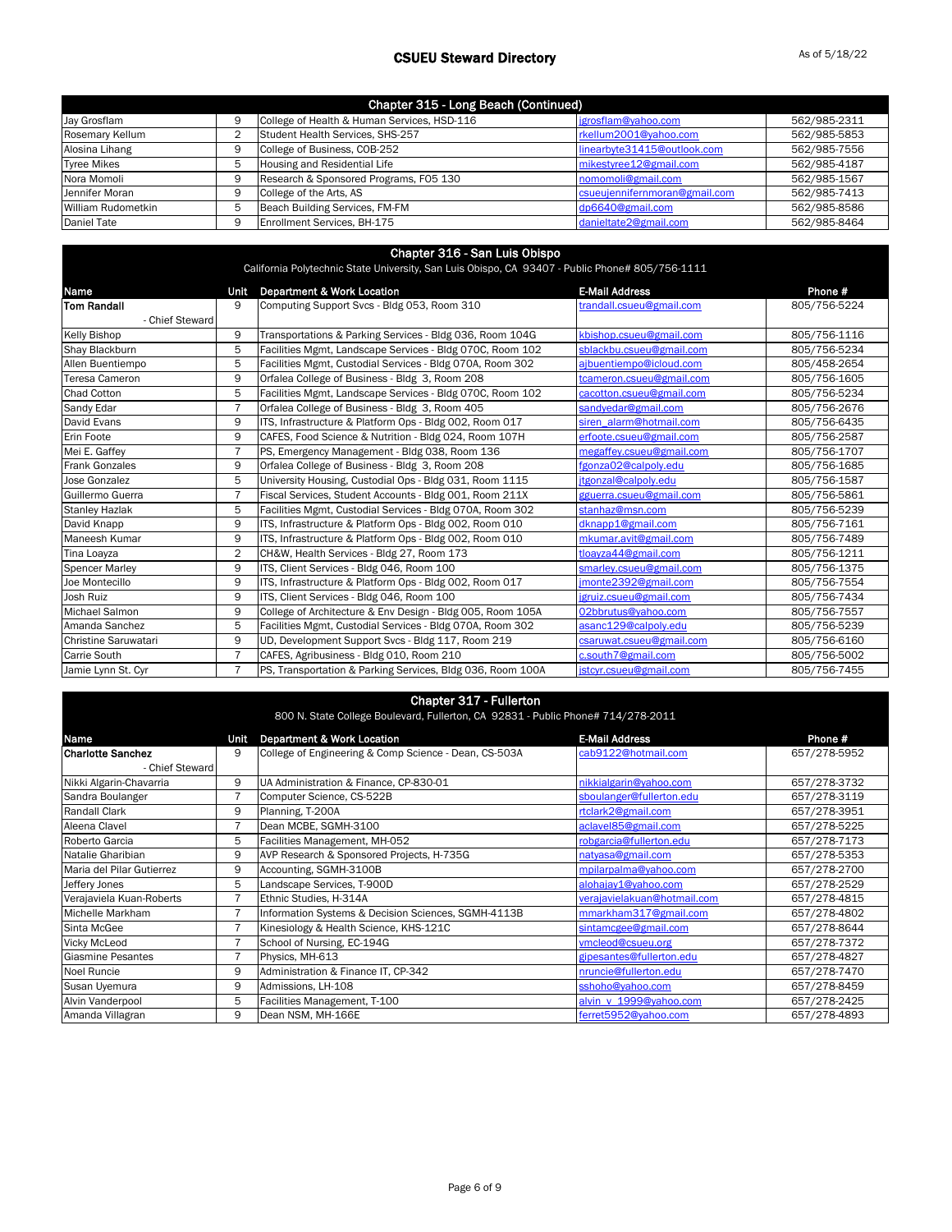| Chapter 315 - Long Beach (Continued) |  |                                             |                               |              |
|--------------------------------------|--|---------------------------------------------|-------------------------------|--------------|
| Jay Grosflam                         |  | College of Health & Human Services, HSD-116 | jgrosflam@yahoo.com           | 562/985-2311 |
| Rosemary Kellum                      |  | Student Health Services, SHS-257            | rkellum2001@yahoo.com         | 562/985-5853 |
| Alosina Lihang                       |  | College of Business, COB-252                | linearbyte31415@outlook.com   | 562/985-7556 |
| <b>Tyree Mikes</b>                   |  | Housing and Residential Life                | mikestyree12@gmail.com        | 562/985-4187 |
| Nora Momoli                          |  | Research & Sponsored Programs, F05 130      | nomomoli@gmail.com            | 562/985-1567 |
| Jennifer Moran                       |  | College of the Arts, AS                     | csueujennifernmoran@gmail.com | 562/985-7413 |
| William Rudometkin                   |  | Beach Building Services, FM-FM              | dp6640@gmail.com              | 562/985-8586 |
| Daniel Tate                          |  | Enrollment Services, BH-175                 | danieltate2@gmail.com         | 562/985-8464 |

#### Chapter 316 - San Luis Obispo

California Polytechnic State University, San Luis Obispo, CA 93407 - Public Phone# 805/756-1111

| Name                  | Unit           | <b>Department &amp; Work Location</b>                      | <b>E-Mail Address</b>    | Phone #      |
|-----------------------|----------------|------------------------------------------------------------|--------------------------|--------------|
| <b>Tom Randall</b>    | 9              | Computing Support Svcs - Bldg 053, Room 310                | trandall.csueu@gmail.com | 805/756-5224 |
| - Chief Steward       |                |                                                            |                          |              |
| <b>Kelly Bishop</b>   | 9              | Transportations & Parking Services - Bldg 036, Room 104G   | kbishop.csueu@gmail.com  | 805/756-1116 |
| Shay Blackburn        | 5              | Facilities Mgmt, Landscape Services - Bldg 070C, Room 102  | sblackbu.csueu@gmail.com | 805/756-5234 |
| Allen Buentiempo      | 5              | Facilities Mgmt, Custodial Services - Bldg 070A, Room 302  | ajbuentiempo@icloud.com  | 805/458-2654 |
| Teresa Cameron        | 9              | Orfalea College of Business - Bldg 3, Room 208             | tcameron.csueu@gmail.com | 805/756-1605 |
| <b>Chad Cotton</b>    | 5              | Facilities Mgmt, Landscape Services - Bldg 070C, Room 102  | cacotton.csueu@gmail.com | 805/756-5234 |
| Sandy Edar            | $\overline{7}$ | Orfalea College of Business - Bldg 3, Room 405             | sandyedar@gmail.com      | 805/756-2676 |
| David Evans           | 9              | ITS, Infrastructure & Platform Ops - Bldg 002, Room 017    | siren alarm@hotmail.com  | 805/756-6435 |
| Erin Foote            | 9              | CAFES, Food Science & Nutrition - Bldg 024, Room 107H      | erfoote.csueu@gmail.com  | 805/756-2587 |
| Mei E. Gaffey         | 7              | PS, Emergency Management - Bldg 038, Room 136              | megaffey.csueu@gmail.com | 805/756-1707 |
| <b>Frank Gonzales</b> | 9              | Orfalea College of Business - Bldg 3, Room 208             | fgonza02@calpolv.edu     | 805/756-1685 |
| Jose Gonzalez         | 5              | University Housing, Custodial Ops - Bldg 031, Room 1115    | jtgonzal@calpoly.edu     | 805/756-1587 |
| Guillermo Guerra      | $\overline{7}$ | Fiscal Services, Student Accounts - Bldg 001, Room 211X    | gguerra.csueu@gmail.com  | 805/756-5861 |
| <b>Stanley Hazlak</b> | 5              | Facilities Mgmt, Custodial Services - Bldg 070A, Room 302  | stanhaz@msn.com          | 805/756-5239 |
| David Knapp           | 9              | ITS, Infrastructure & Platform Ops - Bldg 002, Room 010    | dknapp1@gmail.com        | 805/756-7161 |
| Maneesh Kumar         | 9              | ITS, Infrastructure & Platform Ops - Bldg 002, Room 010    | mkumar.avit@gmail.com    | 805/756-7489 |
| Tina Loayza           | 2              | CH&W, Health Services - Bldg 27, Room 173                  | tloavza44@gmail.com      | 805/756-1211 |
| <b>Spencer Marley</b> | 9              | ITS, Client Services - Bldg 046, Room 100                  | smarley.csueu@gmail.com  | 805/756-1375 |
| Joe Montecillo        | 9              | ITS, Infrastructure & Platform Ops - Bldg 002, Room 017    | imonte2392@gmail.com     | 805/756-7554 |
| Josh Ruiz             | 9              | ITS, Client Services - Bldg 046, Room 100                  | jgruiz.csueu@gmail.com   | 805/756-7434 |
| Michael Salmon        | 9              | College of Architecture & Env Design - Bldg 005, Room 105A | 02bbrutus@yahoo.com      | 805/756-7557 |
| Amanda Sanchez        | 5              | Facilities Mgmt, Custodial Services - Bldg 070A, Room 302  | asanc129@calpolv.edu     | 805/756-5239 |
| Christine Saruwatari  | 9              | UD, Development Support Svcs - Bldg 117, Room 219          | csaruwat.csueu@gmail.com | 805/756-6160 |
| <b>Carrie South</b>   | $\overline{7}$ | CAFES, Agribusiness - Bldg 010, Room 210                   | c.south7@gmail.com       | 805/756-5002 |
| Jamie Lynn St. Cyr    | 7              | PS, Transportation & Parking Services, Bldg 036, Room 100A | jstcyr.csueu@gmail.com   | 805/756-7455 |

### Chapter 317 - Fullerton

| 800 N. State College Boulevard, Fullerton, CA 92831 - Public Phone# 714/278-2011 |                |                                                       |                             |              |
|----------------------------------------------------------------------------------|----------------|-------------------------------------------------------|-----------------------------|--------------|
| Name                                                                             | Unit           | Department & Work Location                            | <b>E-Mail Address</b>       | Phone #      |
| <b>Charlotte Sanchez</b>                                                         | 9              | College of Engineering & Comp Science - Dean, CS-503A | cab9122@hotmail.com         | 657/278-5952 |
| - Chief Steward                                                                  |                |                                                       |                             |              |
| Nikki Algarin-Chavarria                                                          | 9              | UA Administration & Finance, CP-830-01                | nikkialgarin@yahoo.com      | 657/278-3732 |
| Sandra Boulanger                                                                 | 7              | Computer Science, CS-522B                             | sboulanger@fullerton.edu    | 657/278-3119 |
| Randall Clark                                                                    | 9              | Planning, T-200A                                      | rtclark2@gmail.com          | 657/278-3951 |
| Aleena Clavel                                                                    | 7              | Dean MCBE, SGMH-3100                                  | aclavel85@gmail.com         | 657/278-5225 |
| Roberto Garcia                                                                   | 5              | Facilities Management, MH-052                         | robgarcia@fullerton.edu     | 657/278-7173 |
| Natalie Gharibian                                                                | 9              | AVP Research & Sponsored Projects, H-735G             | natyasa@gmail.com           | 657/278-5353 |
| Maria del Pilar Gutierrez                                                        | 9              | Accounting, SGMH-3100B                                | mpilarpalma@yahoo.com       | 657/278-2700 |
| Jeffery Jones                                                                    | 5              | Landscape Services, T-900D                            | alohajay1@yahoo.com         | 657/278-2529 |
| Verajaviela Kuan-Roberts                                                         | $\overline{7}$ | Ethnic Studies, H-314A                                | verajavielakuan@hotmail.com | 657/278-4815 |
| Michelle Markham                                                                 | 7              | Information Systems & Decision Sciences, SGMH-4113B   | mmarkham317@gmail.com       | 657/278-4802 |
| Sinta McGee                                                                      | 7              | Kinesiology & Health Science, KHS-121C                | sintamcgee@gmail.com        | 657/278-8644 |
| <b>Vicky McLeod</b>                                                              |                | School of Nursing, EC-194G                            | vmcleod@csueu.org           | 657/278-7372 |
| Giasmine Pesantes                                                                | 7              | Physics, MH-613                                       | gipesantes@fullerton.edu    | 657/278-4827 |
| <b>Noel Runcie</b>                                                               | 9              | Administration & Finance IT, CP-342                   | nruncie@fullerton.edu       | 657/278-7470 |
| Susan Uyemura                                                                    | 9              | Admissions, LH-108                                    | sshoho@yahoo.com            | 657/278-8459 |
| Alvin Vanderpool                                                                 | 5              | Facilities Management, T-100                          | alvin v 1999@yahoo.com      | 657/278-2425 |
| Amanda Villagran                                                                 | 9              | Dean NSM, MH-166E                                     | ferret5952@yahoo.com        | 657/278-4893 |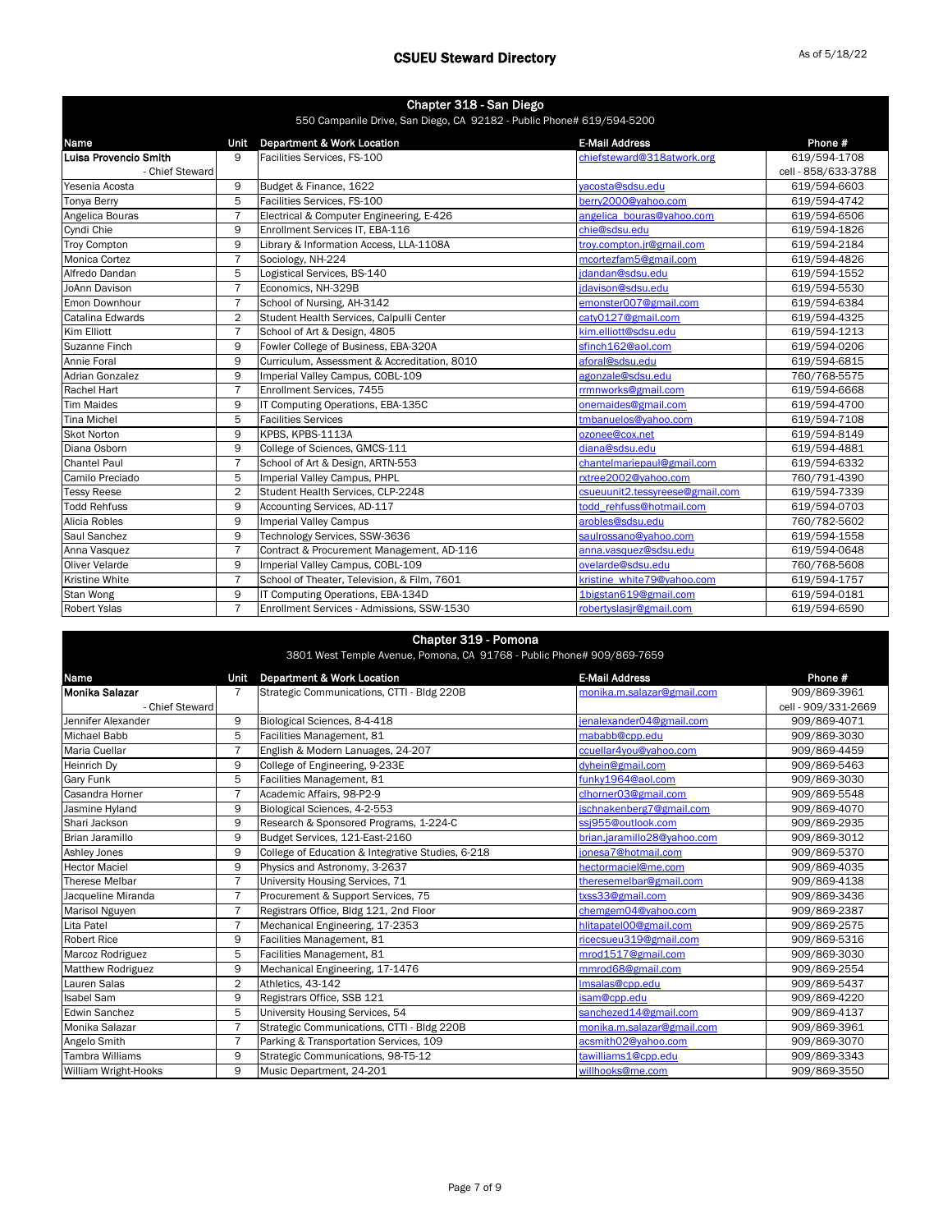| Chapter 318 - San Diego<br>550 Campanile Drive, San Diego, CA 92182 - Public Phone# 619/594-5200 |                |                                              |                                 |                     |
|--------------------------------------------------------------------------------------------------|----------------|----------------------------------------------|---------------------------------|---------------------|
| Name                                                                                             | Unit           | <b>Department &amp; Work Location</b>        | <b>E-Mail Address</b>           | Phone #             |
| Luisa Provencio Smith                                                                            | 9              | Facilities Services, FS-100                  | chiefsteward@318atwork.org      | 619/594-1708        |
| - Chief Steward                                                                                  |                |                                              |                                 | cell - 858/633-3788 |
| Yesenia Acosta                                                                                   | 9              | Budget & Finance, 1622                       | vacosta@sdsu.edu                | 619/594-6603        |
| <b>Tonya Berry</b>                                                                               | 5              | Facilities Services, FS-100                  | berry2000@yahoo.com             | 619/594-4742        |
| Angelica Bouras                                                                                  | $\overline{7}$ | Electrical & Computer Engineering, E-426     | angelica bouras@yahoo.com       | 619/594-6506        |
| Cyndi Chie                                                                                       | 9              | Enrollment Services IT, EBA-116              | chie@sdsu.edu                   | 619/594-1826        |
| <b>Troy Compton</b>                                                                              | 9              | Library & Information Access, LLA-1108A      | troy.compton.jr@gmail.com       | 619/594-2184        |
| <b>Monica Cortez</b>                                                                             | 7              | Sociology, NH-224                            | mcortezfam5@gmail.com           | 619/594-4826        |
| Alfredo Dandan                                                                                   | 5              | Logistical Services, BS-140                  | jdandan@sdsu.edu                | 619/594-1552        |
| JoAnn Davison                                                                                    | $\overline{7}$ | Economics, NH-329B                           | jdavison@sdsu.edu               | 619/594-5530        |
| Emon Downhour                                                                                    | $\overline{7}$ | School of Nursing, AH-3142                   | emonster007@gmail.com           | 619/594-6384        |
| Catalina Edwards                                                                                 | $\overline{2}$ | Student Health Services, Calpulli Center     | caty0127@gmail.com              | 619/594-4325        |
| Kim Elliott                                                                                      | $\overline{7}$ | School of Art & Design, 4805                 | kim.elliott@sdsu.edu            | 619/594-1213        |
| Suzanne Finch                                                                                    | 9              | Fowler College of Business, EBA-320A         | sfinch162@aol.com               | 619/594-0206        |
| Annie Foral                                                                                      | 9              | Curriculum, Assessment & Accreditation, 8010 | aforal@sdsu.edu                 | 619/594-6815        |
| <b>Adrian Gonzalez</b>                                                                           | 9              | Imperial Valley Campus, COBL-109             | agonzale@sdsu.edu               | 760/768-5575        |
| Rachel Hart                                                                                      | $\overline{7}$ | Enrollment Services, 7455                    | rrmnworks@gmail.com             | 619/594-6668        |
| <b>Tim Maides</b>                                                                                | 9              | IT Computing Operations, EBA-135C            | onemaides@gmail.com             | 619/594-4700        |
| <b>Tina Michel</b>                                                                               | 5              | <b>Facilities Services</b>                   | tmbanuelos@yahoo.com            | 619/594-7108        |
| <b>Skot Norton</b>                                                                               | 9              | KPBS, KPBS-1113A                             | ozonee@cox.net                  | 619/594-8149        |
| Diana Osborn                                                                                     | 9              | College of Sciences, GMCS-111                | diana@sdsu.edu                  | 619/594-4881        |
| <b>Chantel Paul</b>                                                                              | $\overline{7}$ | School of Art & Design, ARTN-553             | chantelmariepaul@gmail.com      | 619/594-6332        |
| Camilo Preciado                                                                                  | 5              | Imperial Valley Campus, PHPL                 | rxtree2002@yahoo.com            | 760/791-4390        |
| <b>Tessy Reese</b>                                                                               | $\overline{2}$ | Student Health Services, CLP-2248            | csueuunit2.tessyreese@gmail.com | 619/594-7339        |
| <b>Todd Rehfuss</b>                                                                              | 9              | Accounting Services, AD-117                  | todd rehfuss@hotmail.com        | 619/594-0703        |
| Alicia Robles                                                                                    | 9              | <b>Imperial Valley Campus</b>                | arobles@sdsu.edu                | 760/782-5602        |
| Saul Sanchez                                                                                     | 9              | Technology Services, SSW-3636                | saulrossano@yahoo.com           | 619/594-1558        |
| Anna Vasquez                                                                                     | $\overline{7}$ | Contract & Procurement Management, AD-116    | anna.vasquez@sdsu.edu           | 619/594-0648        |
| Oliver Velarde                                                                                   | 9              | Imperial Valley Campus, COBL-109             | ovelarde@sdsu.edu               | 760/768-5608        |
| Kristine White                                                                                   | $\overline{7}$ | School of Theater, Television, & Film, 7601  | kristine white79@yahoo.com      | 619/594-1757        |
| Stan Wong                                                                                        | 9              | IT Computing Operations, EBA-134D            | 1bigstan619@gmail.com           | 619/594-0181        |
| <b>Robert Yslas</b>                                                                              | $\overline{7}$ | Enrollment Services - Admissions, SSW-1530   | robertyslasjr@gmail.com         | 619/594-6590        |

#### Chapter 319 - Pomona

3801 West Temple Avenue, Pomona, CA 91768 - Public Phone# 909/869-7659

| Name                     | Unit           | <b>Department &amp; Work Location</b>             | <b>E-Mail Address</b>       | Phone #             |
|--------------------------|----------------|---------------------------------------------------|-----------------------------|---------------------|
| Monika Salazar           | 7              | Strategic Communications, CTTI - Bldg 220B        | monika.m.salazar@gmail.com  | 909/869-3961        |
| - Chief Steward          |                |                                                   |                             | cell - 909/331-2669 |
| Jennifer Alexander       | 9              | Biological Sciences, 8-4-418                      | jenalexander04@gmail.com    | 909/869-4071        |
| Michael Babb             | 5              | Facilities Management, 81                         | mababb@cpp.edu              | 909/869-3030        |
| Maria Cuellar            | $\overline{7}$ | English & Modern Lanuages, 24-207                 | ccuellar4you@yahoo.com      | 909/869-4459        |
| Heinrich Dy              | 9              | College of Engineering, 9-233E                    | dyhein@gmail.com            | 909/869-5463        |
| Gary Funk                | 5              | Facilities Management, 81                         | funky1964@aol.com           | 909/869-3030        |
| Casandra Horner          | $\overline{7}$ | Academic Affairs, 98-P2-9                         | clhorner03@gmail.com        | 909/869-5548        |
| Jasmine Hyland           | 9              | Biological Sciences, 4-2-553                      | jschnakenberg7@gmail.com    | 909/869-4070        |
| Shari Jackson            | 9              | Research & Sponsored Programs, 1-224-C            | ssj955@outlook.com          | 909/869-2935        |
| Brian Jaramillo          | 9              | Budget Services, 121-East-2160                    | brian.jaramillo28@yahoo.com | 909/869-3012        |
| Ashley Jones             | 9              | College of Education & Integrative Studies, 6-218 | ionesa7@hotmail.com         | 909/869-5370        |
| <b>Hector Maciel</b>     | 9              | Physics and Astronomy, 3-2637                     | hectormaciel@me.com         | 909/869-4035        |
| Therese Melbar           | $\overline{7}$ | University Housing Services, 71                   | theresemelbar@gmail.com     | 909/869-4138        |
| Jacqueline Miranda       | $\overline{7}$ | Procurement & Support Services, 75                | txss33@gmail.com            | 909/869-3436        |
| Marisol Nguyen           | $\overline{7}$ | Registrars Office, Bldg 121, 2nd Floor            | chemgem04@vahoo.com         | 909/869-2387        |
| Lita Patel               | $\overline{7}$ | Mechanical Engineering, 17-2353                   | hlitapatel00@gmail.com      | 909/869-2575        |
| <b>Robert Rice</b>       | 9              | Facilities Management, 81                         | ricecsueu319@gmail.com      | 909/869-5316        |
| Marcoz Rodriguez         | 5              | Facilities Management, 81                         | mrod1517@gmail.com          | 909/869-3030        |
| <b>Matthew Rodriguez</b> | 9              | Mechanical Engineering, 17-1476                   | mmrod68@gmail.com           | 909/869-2554        |
| Lauren Salas             | $\overline{2}$ | Athletics, 43-142                                 | Imsalas@cpp.edu             | 909/869-5437        |
| <b>Isabel Sam</b>        | 9              | Registrars Office, SSB 121                        | isam@cpp.edu                | 909/869-4220        |
| <b>Edwin Sanchez</b>     | 5              | University Housing Services, 54                   | sanchezed14@gmail.com       | 909/869-4137        |
| Monika Salazar           | $\overline{7}$ | Strategic Communications, CTTI - Bldg 220B        | monika.m.salazar@gmail.com  | 909/869-3961        |
| Angelo Smith             | $\overline{7}$ | Parking & Transportation Services, 109            | acsmith02@vahoo.com         | 909/869-3070        |
| <b>Tambra Williams</b>   | 9              | Strategic Communications, 98-T5-12                | tawilliams1@cpp.edu         | 909/869-3343        |
| William Wright-Hooks     | 9              | Music Department, 24-201                          | willhooks@me.com            | 909/869-3550        |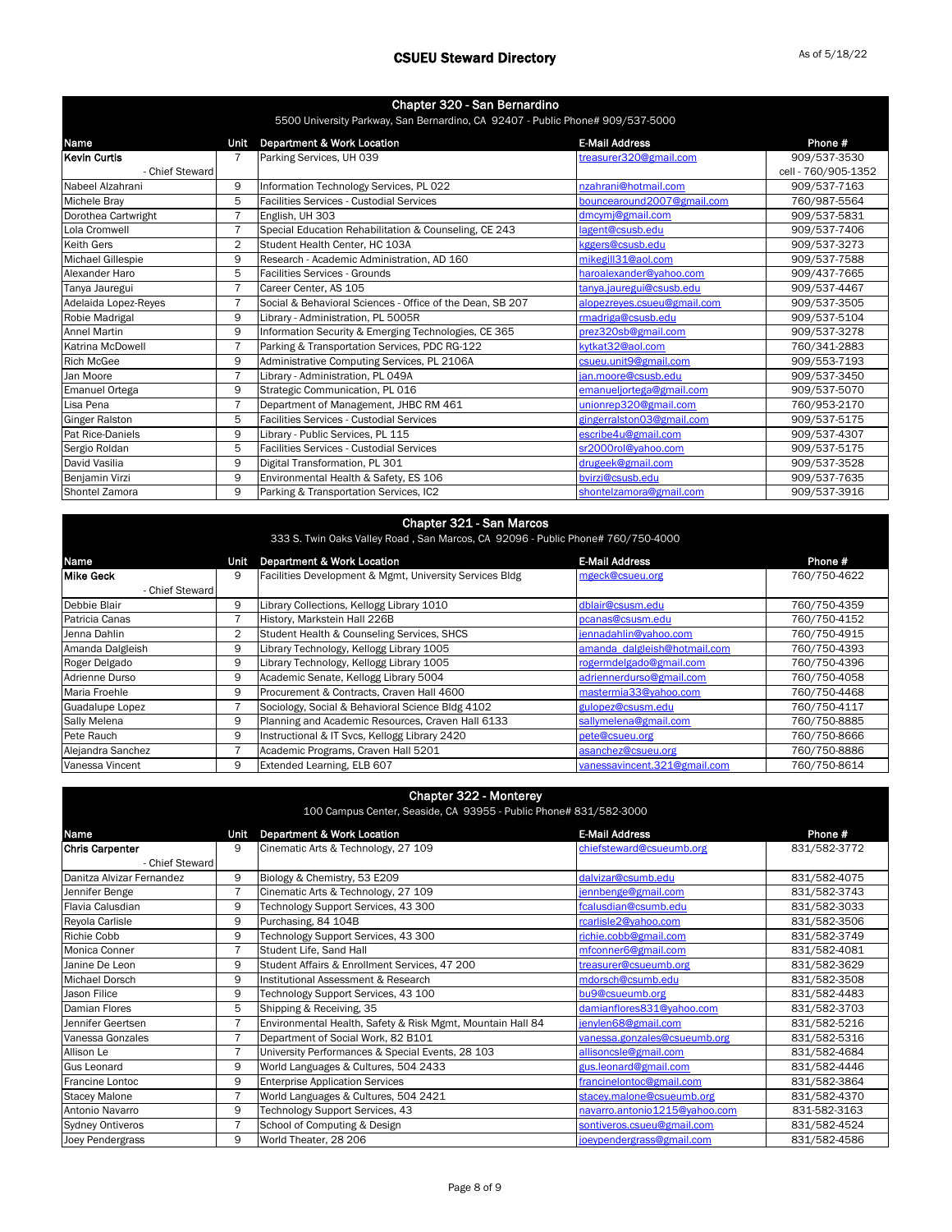| Chapter 320 - San Bernardino<br>5500 University Parkway, San Bernardino, CA 92407 - Public Phone# 909/537-5000 |                |                                                           |                             |                     |
|----------------------------------------------------------------------------------------------------------------|----------------|-----------------------------------------------------------|-----------------------------|---------------------|
| Name                                                                                                           | Unit           | <b>Department &amp; Work Location</b>                     | <b>E-Mail Address</b>       | Phone #             |
| Kevin Curtis                                                                                                   |                | Parking Services, UH 039                                  | treasurer320@gmail.com      | 909/537-3530        |
| - Chief Steward                                                                                                |                |                                                           |                             | cell - 760/905-1352 |
| Nabeel Alzahrani                                                                                               | 9              | Information Technology Services, PL 022                   | nzahrani@hotmail.com        | 909/537-7163        |
| <b>Michele Brav</b>                                                                                            | 5              | <b>Facilities Services - Custodial Services</b>           | bouncearound2007@gmail.com  | 760/987-5564        |
| Dorothea Cartwright                                                                                            | $\overline{7}$ | English, UH 303                                           | dmcymj@gmail.com            | 909/537-5831        |
| Lola Cromwell                                                                                                  | 7              | Special Education Rehabilitation & Counseling, CE 243     | lagent@csusb.edu            | 909/537-7406        |
| <b>Keith Gers</b>                                                                                              | $\overline{2}$ | Student Health Center, HC 103A                            | kggers@csusb.edu            | 909/537-3273        |
| <b>Michael Gillespie</b>                                                                                       | 9              | Research - Academic Administration, AD 160                | mikegill31@aol.com          | 909/537-7588        |
| Alexander Haro                                                                                                 | 5              | <b>Facilities Services - Grounds</b>                      | haroalexander@yahoo.com     | 909/437-7665        |
| Tanya Jauregui                                                                                                 | $\overline{7}$ | Career Center, AS 105                                     | tanya.jauregui@csusb.edu    | 909/537-4467        |
| Adelaida Lopez-Reyes                                                                                           | 7              | Social & Behavioral Sciences - Office of the Dean, SB 207 | alopezreyes.csueu@gmail.com | 909/537-3505        |
| Robie Madrigal                                                                                                 | 9              | Library - Administration, PL 5005R                        | rmadriga@csusb.edu          | 909/537-5104        |
| <b>Annel Martin</b>                                                                                            | 9              | Information Security & Emerging Technologies, CE 365      | prez320sb@gmail.com         | 909/537-3278        |
| Katrina McDowell                                                                                               | $\overline{7}$ | Parking & Transportation Services, PDC RG-122             | kytkat32@aol.com            | 760/341-2883        |
| <b>Rich McGee</b>                                                                                              | 9              | Administrative Computing Services, PL 2106A               | csueu.unit9@gmail.com       | 909/553-7193        |
| Jan Moore                                                                                                      | $\overline{7}$ | Library - Administration, PL 049A                         | ian.moore@csusb.edu         | 909/537-3450        |
| <b>Emanuel Ortega</b>                                                                                          | 9              | Strategic Communication, PL 016                           | emanueljortega@gmail.com    | 909/537-5070        |
| Lisa Pena                                                                                                      | 7              | Department of Management, JHBC RM 461                     | unionrep320@gmail.com       | 760/953-2170        |
| <b>Ginger Ralston</b>                                                                                          | 5              | <b>Facilities Services - Custodial Services</b>           | gingerralston03@gmail.com   | 909/537-5175        |
| Pat Rice-Daniels                                                                                               | 9              | Library - Public Services, PL 115                         | escribe4u@gmail.com         | 909/537-4307        |
| Sergio Roldan                                                                                                  | 5              | <b>Facilities Services - Custodial Services</b>           | sr2000rol@yahoo.com         | 909/537-5175        |
| David Vasilia                                                                                                  | 9              | Digital Transformation, PL 301                            | drugeek@gmail.com           | 909/537-3528        |
| Benjamin Virzi                                                                                                 | 9              | Environmental Health & Safety, ES 106                     | bvirzi@csusb.edu            | 909/537-7635        |
| Shontel Zamora                                                                                                 | 9              | Parking & Transportation Services, IC2                    | shontelzamora@gmail.com     | 909/537-3916        |

### Chapter 321 - San Marcos

| 333 S. Twin Oaks Valley Road, San Marcos, CA 92096 - Public Phone# 760/750-4000 |      |                                                         |                              |              |
|---------------------------------------------------------------------------------|------|---------------------------------------------------------|------------------------------|--------------|
| Name                                                                            | Unit | Department & Work Location                              | <b>E-Mail Address</b>        | Phone #      |
| <b>Mike Geck</b>                                                                | 9    | Facilities Development & Mgmt, University Services Bldg | mgeck@csueu.org              | 760/750-4622 |
| - Chief Steward                                                                 |      |                                                         |                              |              |
| Debbie Blair                                                                    | 9    | Library Collections, Kellogg Library 1010               | dblair@csusm.edu             | 760/750-4359 |
| Patricia Canas                                                                  |      | History, Markstein Hall 226B                            | pcanas@csusm.edu             | 760/750-4152 |
| Jenna Dahlin                                                                    | 2    | Student Health & Counseling Services, SHCS              | jennadahlin@yahoo.com        | 760/750-4915 |
| Amanda Dalgleish                                                                | 9    | Library Technology, Kellogg Library 1005                | amanda_dalgleish@hotmail.com | 760/750-4393 |
| Roger Delgado                                                                   | 9    | Library Technology, Kellogg Library 1005                | rogermdelgado@gmail.com      | 760/750-4396 |
| Adrienne Durso                                                                  | 9    | Academic Senate, Kellogg Library 5004                   | adriennerdurso@gmail.com     | 760/750-4058 |
| Maria Froehle                                                                   | 9    | Procurement & Contracts, Craven Hall 4600               | mastermia33@yahoo.com        | 760/750-4468 |
| Guadalupe Lopez                                                                 |      | Sociology, Social & Behavioral Science Bldg 4102        | gulopez@csusm.edu            | 760/750-4117 |
| Sally Melena                                                                    | 9    | Planning and Academic Resources, Craven Hall 6133       | sallymelena@gmail.com        | 760/750-8885 |
| Pete Rauch                                                                      | 9    | Instructional & IT Svcs, Kellogg Library 2420           | pete@csueu.org               | 760/750-8666 |
| Alejandra Sanchez                                                               |      | Academic Programs, Craven Hall 5201                     | asanchez@csueu.org           | 760/750-8886 |
| Vanessa Vincent                                                                 | 9    | Extended Learning, ELB 607                              | vanessavincent.321@gmail.com | 760/750-8614 |

| <b>Chapter 322 - Monterey</b>                                     |                |                                                            |                               |              |
|-------------------------------------------------------------------|----------------|------------------------------------------------------------|-------------------------------|--------------|
| 100 Campus Center, Seaside, CA 93955 - Public Phone# 831/582-3000 |                |                                                            |                               |              |
| Name                                                              | Unit           | <b>Department &amp; Work Location</b>                      | <b>E-Mail Address</b>         | Phone #      |
| <b>Chris Carpenter</b>                                            | 9              | Cinematic Arts & Technology, 27 109                        | chiefsteward@csueumb.org      | 831/582-3772 |
| - Chief Steward                                                   |                |                                                            |                               |              |
| Danitza Alvizar Fernandez                                         | 9              | Biology & Chemistry, 53 E209                               | dalvizar@csumb.edu            | 831/582-4075 |
| Jennifer Benge                                                    | 7              | Cinematic Arts & Technology, 27 109                        | jennbenge@gmail.com           | 831/582-3743 |
| Flavia Calusdian                                                  | 9              | Technology Support Services, 43 300                        | fcalusdian@csumb.edu          | 831/582-3033 |
| Reyola Carlisle                                                   | 9              | Purchasing, 84 104B                                        | rcarlisle2@yahoo.com          | 831/582-3506 |
| Richie Cobb                                                       | 9              | Technology Support Services, 43 300                        | richie.cobb@gmail.com         | 831/582-3749 |
| Monica Conner                                                     | $\overline{7}$ | Student Life, Sand Hall                                    | mfconner6@gmail.com           | 831/582-4081 |
| Janine De Leon                                                    | 9              | Student Affairs & Enrollment Services, 47 200              | treasurer@csueumb.org         | 831/582-3629 |
| Michael Dorsch                                                    | 9              | Institutional Assessment & Research                        | mdorsch@csumb.edu             | 831/582-3508 |
| Jason Filice                                                      | 9              | Technology Support Services, 43 100                        | bu9@csueumb.org               | 831/582-4483 |
| Damian Flores                                                     | 5              | Shipping & Receiving, 35                                   | damianflores831@yahoo.com     | 831/582-3703 |
| Jennifer Geertsen                                                 |                | Environmental Health, Safety & Risk Mgmt, Mountain Hall 84 | jenylen68@gmail.com           | 831/582-5216 |
| Vanessa Gonzales                                                  | 7              | Department of Social Work, 82 B101                         | vanessa.gonzales@csueumb.org  | 831/582-5316 |
| Allison Le                                                        | $\overline{7}$ | University Performances & Special Events, 28 103           | allisoncsle@gmail.com         | 831/582-4684 |
| <b>Gus Leonard</b>                                                | 9              | World Languages & Cultures, 504 2433                       | gus.leonard@gmail.com         | 831/582-4446 |
| <b>Francine Lontoc</b>                                            | 9              | <b>Enterprise Application Services</b>                     | francinelontoc@gmail.com      | 831/582-3864 |
| <b>Stacey Malone</b>                                              | 7              | World Languages & Cultures, 504 2421                       | stacey.malone@csueumb.org     | 831/582-4370 |
| Antonio Navarro                                                   | 9              | Technology Support Services, 43                            | navarro.antonio1215@yahoo.com | 831-582-3163 |
| <b>Sydney Ontiveros</b>                                           | 7              | School of Computing & Design                               | sontiveros.csueu@gmail.com    | 831/582-4524 |
| Joey Pendergrass                                                  | 9              | World Theater, 28 206                                      | joeypendergrass@gmail.com     | 831/582-4586 |